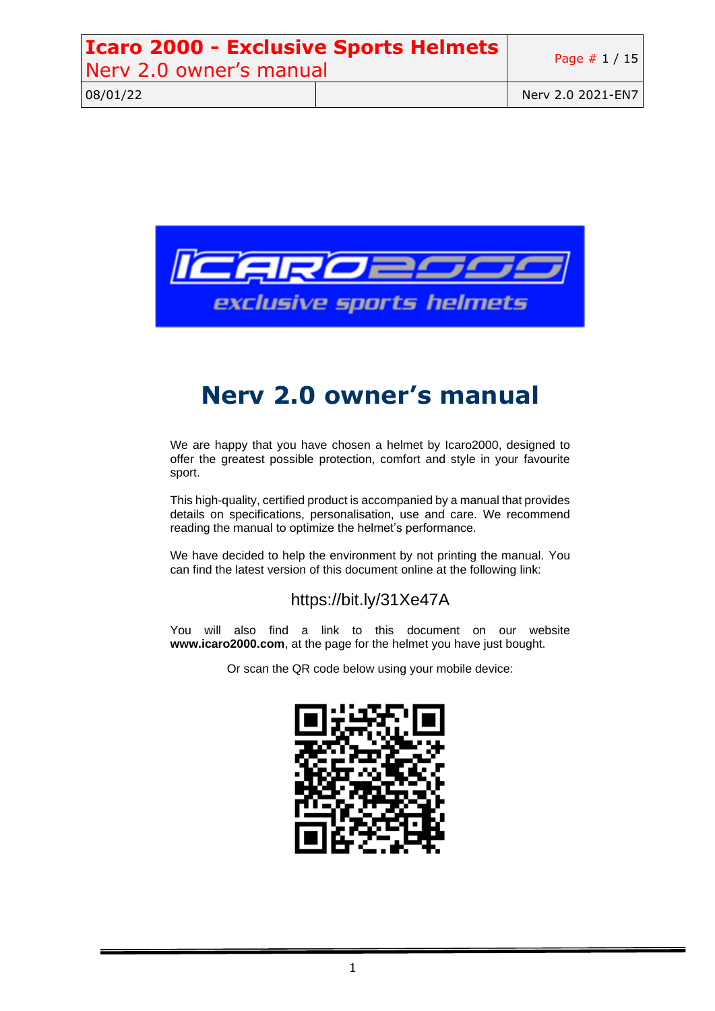| <b>Icaro 2000 - Exclusive Sports Helmets</b><br>Nerv 2.0 owner's manual |  | Page $# 1 / 15$   |
|-------------------------------------------------------------------------|--|-------------------|
| 08/01/22                                                                |  | Nerv 2.0 2021-EN7 |



# **Nerv 2.0 owner's manual**

We are happy that you have chosen a helmet by Icaro2000, designed to offer the greatest possible protection, comfort and style in your favourite sport.

This high-quality, certified product is accompanied by a manual that provides details on specifications, personalisation, use and care. We recommend reading the manual to optimize the helmet's performance.

We have decided to help the environment by not printing the manual. You can find the latest version of this document online at the following link:

### https://bit.ly/31Xe47A

You will also find a link to this document on our website **www.icaro2000.com**, at the page for the helmet you have just bought.

Or scan the QR code below using your mobile device:

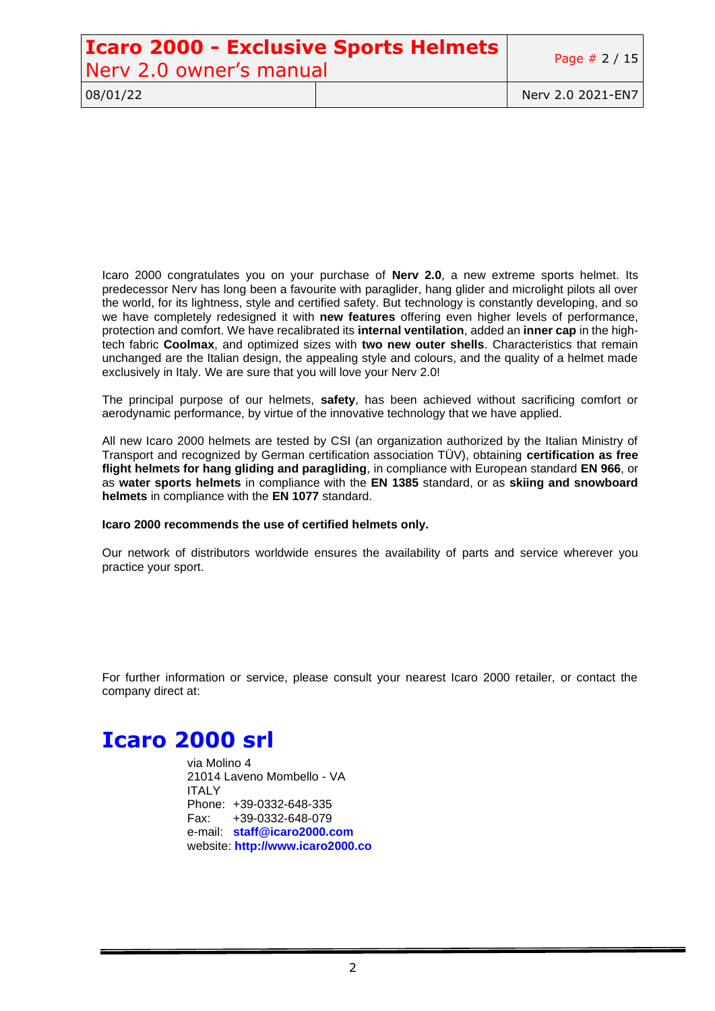# **Icaro 2000 - Exclusive Sports Helmets** Nerv 2.0 owner's manual Page # 2/15

08/01/22 Nerv 2.0 2021-EN7

Icaro 2000 congratulates you on your purchase of **Nerv 2.0**, a new extreme sports helmet. Its predecessor Nerv has long been a favourite with paraglider, hang glider and microlight pilots all over the world, for its lightness, style and certified safety. But technology is constantly developing, and so we have completely redesigned it with **new features** offering even higher levels of performance, protection and comfort. We have recalibrated its **internal ventilation**, added an **inner cap** in the hightech fabric **Coolmax**, and optimized sizes with **two new outer shells**. Characteristics that remain unchanged are the Italian design, the appealing style and colours, and the quality of a helmet made exclusively in Italy. We are sure that you will love your Nerv 2.0!

The principal purpose of our helmets, **safety**, has been achieved without sacrificing comfort or aerodynamic performance, by virtue of the innovative technology that we have applied.

All new Icaro 2000 helmets are tested by CSI (an organization authorized by the Italian Ministry of Transport and recognized by German certification association TÜV), obtaining **certification as free flight helmets for hang gliding and paragliding**, in compliance with European standard **EN 966**, or as **water sports helmets** in compliance with the **EN 1385** standard, or as **skiing and snowboard helmets** in compliance with the **EN 1077** standard.

#### **Icaro 2000 recommends the use of certified helmets only.**

Our network of distributors worldwide ensures the availability of parts and service wherever you practice your sport.

For further information or service, please consult your nearest Icaro 2000 retailer, or contact the company direct at:

# **Icaro 2000 srl**

via Molino 4 21014 Laveno Mombello - VA ITALY Phone: +39-0332-648-335 Fax: +39-0332-648-079 e-mail: **staff@icaro2000.com** website: **http://www.icaro2000.co**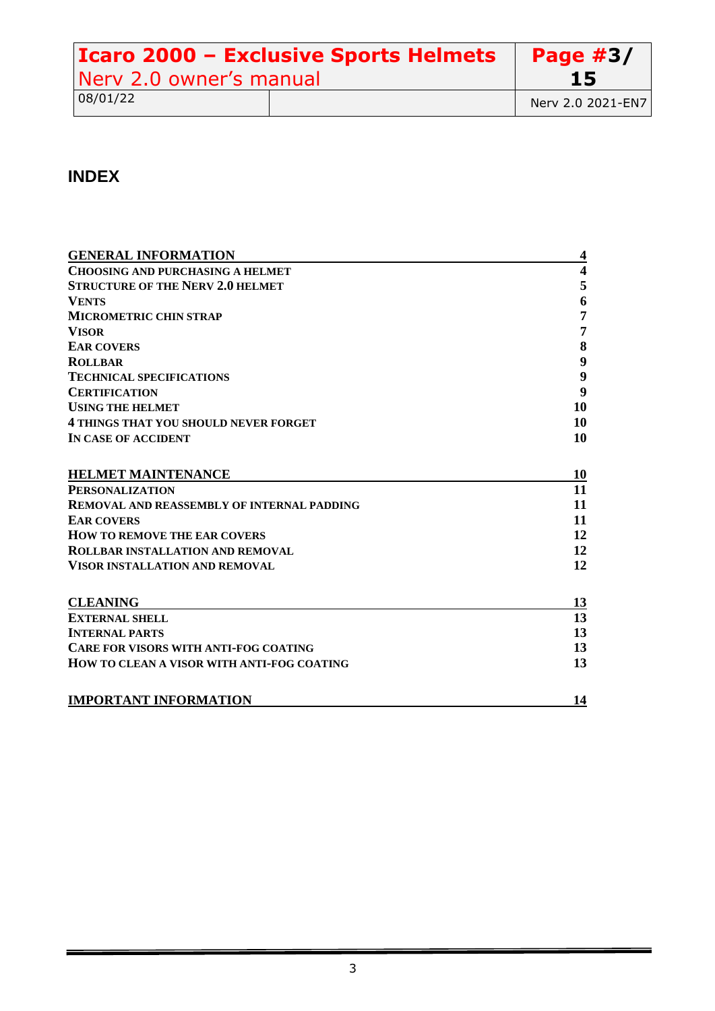| Icaro 2000 - Exclusive Sports Helmets |  | Page $#3/$        |
|---------------------------------------|--|-------------------|
| Nerv 2.0 owner's manual               |  | 15                |
| 08/01/22                              |  | Nerv 2.0 2021-EN7 |

# **INDEX**

| <b>GENERAL INFORMATION</b>                        | $\overline{\mathbf{4}}$ |
|---------------------------------------------------|-------------------------|
| <b>CHOOSING AND PURCHASING A HELMET</b>           | $\overline{\mathbf{4}}$ |
| <b>STRUCTURE OF THE NERV 2.0 HELMET</b>           | 5                       |
| <b>VENTS</b>                                      | 6                       |
| <b>MICROMETRIC CHIN STRAP</b>                     | $\overline{7}$          |
| <b>VISOR</b>                                      | 7                       |
| <b>EAR COVERS</b>                                 | 8                       |
| <b>ROLLBAR</b>                                    | $\boldsymbol{9}$        |
| <b>TECHNICAL SPECIFICATIONS</b>                   | $\boldsymbol{9}$        |
| <b>CERTIFICATION</b>                              | 9                       |
| <b>USING THE HELMET</b>                           | 10                      |
| <b>4 THINGS THAT YOU SHOULD NEVER FORGET</b>      | 10                      |
| IN CASE OF ACCIDENT                               | 10                      |
| <b>HELMET MAINTENANCE</b>                         | 10                      |
| <b>PERSONALIZATION</b>                            | 11                      |
| <b>REMOVAL AND REASSEMBLY OF INTERNAL PADDING</b> | 11                      |
| <b>EAR COVERS</b>                                 | 11                      |
| <b>HOW TO REMOVE THE EAR COVERS</b>               | 12                      |
| <b>ROLLBAR INSTALLATION AND REMOVAL</b>           | 12                      |
| <b>VISOR INSTALLATION AND REMOVAL</b>             | 12                      |
| <b>CLEANING</b>                                   | 13                      |
| <b>EXTERNAL SHELL</b>                             | 13                      |
| <b>INTERNAL PARTS</b>                             | 13                      |
| <b>CARE FOR VISORS WITH ANTI-FOG COATING</b>      | 13                      |
| HOW TO CLEAN A VISOR WITH ANTI-FOG COATING        | 13                      |
| <b>IMPORTANT INFORMATION</b>                      | 14                      |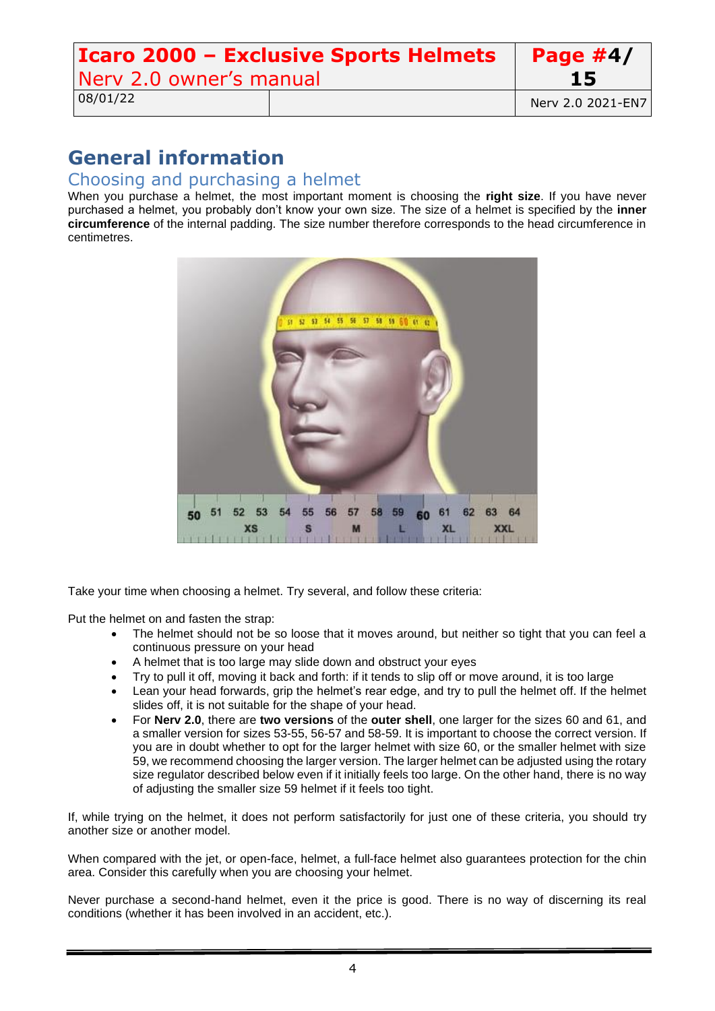| Icaro 2000 - Exclusive Sports Helmets |  | Page $#4/$        |
|---------------------------------------|--|-------------------|
| Nerv 2.0 owner's manual               |  | 15                |
| 08/01/22                              |  | Nerv 2.0 2021-EN7 |

# <span id="page-3-0"></span>**General information**

### <span id="page-3-1"></span>Choosing and purchasing a helmet

When you purchase a helmet, the most important moment is choosing the **right size**. If you have never purchased a helmet, you probably don't know your own size. The size of a helmet is specified by the **inner circumference** of the internal padding. The size number therefore corresponds to the head circumference in centimetres.



Take your time when choosing a helmet. Try several, and follow these criteria:

Put the helmet on and fasten the strap:

- The helmet should not be so loose that it moves around, but neither so tight that you can feel a continuous pressure on your head
- A helmet that is too large may slide down and obstruct your eyes
- Try to pull it off, moving it back and forth: if it tends to slip off or move around, it is too large
- Lean your head forwards, grip the helmet's rear edge, and try to pull the helmet off. If the helmet slides off, it is not suitable for the shape of your head.
- For **Nerv 2.0**, there are **two versions** of the **outer shell**, one larger for the sizes 60 and 61, and a smaller version for sizes 53-55, 56-57 and 58-59. It is important to choose the correct version. If you are in doubt whether to opt for the larger helmet with size 60, or the smaller helmet with size 59, we recommend choosing the larger version. The larger helmet can be adjusted using the rotary size regulator described below even if it initially feels too large. On the other hand, there is no way of adjusting the smaller size 59 helmet if it feels too tight.

If, while trying on the helmet, it does not perform satisfactorily for just one of these criteria, you should try another size or another model.

When compared with the jet, or open-face, helmet, a full-face helmet also guarantees protection for the chin area. Consider this carefully when you are choosing your helmet.

Never purchase a second-hand helmet, even it the price is good. There is no way of discerning its real conditions (whether it has been involved in an accident, etc.).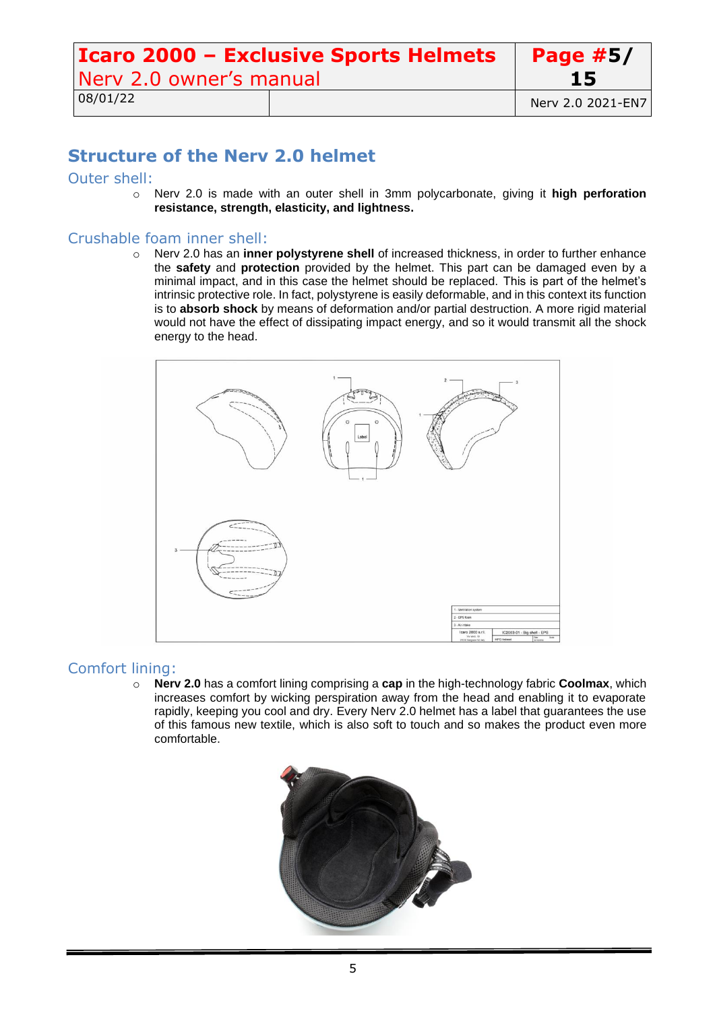| Icaro 2000 - Exclusive Sports Helmets |  | Page $#5/$        |
|---------------------------------------|--|-------------------|
| Nerv 2.0 owner's manual               |  | <b>15</b>         |
| 08/01/22                              |  | Nerv 2.0 2021-EN7 |

## <span id="page-4-0"></span>**Structure of the Nerv 2.0 helmet**

### Outer shell:

o Nerv 2.0 is made with an outer shell in 3mm polycarbonate, giving it **high perforation resistance, strength, elasticity, and lightness.**

### Crushable foam inner shell:

o Nerv 2.0 has an **inner polystyrene shell** of increased thickness, in order to further enhance the **safety** and **protection** provided by the helmet. This part can be damaged even by a minimal impact, and in this case the helmet should be replaced. This is part of the helmet's intrinsic protective role. In fact, polystyrene is easily deformable, and in this context its function is to **absorb shock** by means of deformation and/or partial destruction. A more rigid material would not have the effect of dissipating impact energy, and so it would transmit all the shock energy to the head.



### Comfort lining:

o **Nerv 2.0** has a comfort lining comprising a **cap** in the high-technology fabric **Coolmax**, which increases comfort by wicking perspiration away from the head and enabling it to evaporate rapidly, keeping you cool and dry. Every Nerv 2.0 helmet has a label that guarantees the use of this famous new textile, which is also soft to touch and so makes the product even more comfortable.

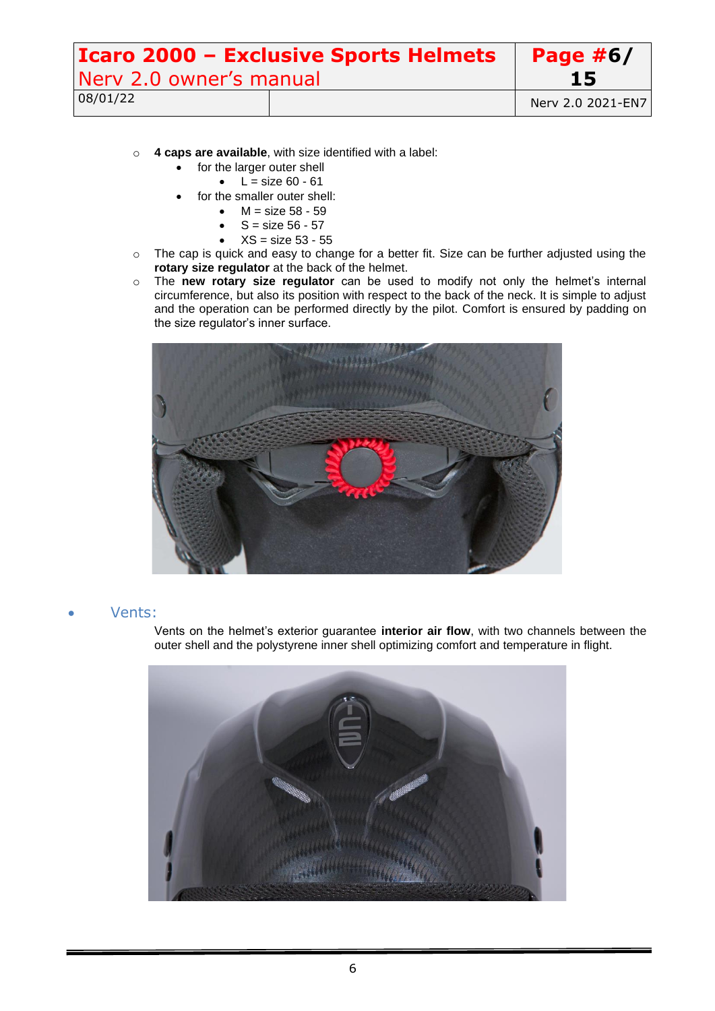| <b>Icaro 2000 - Exclusive Sports Helmets</b> |  | Page $#6/$        |
|----------------------------------------------|--|-------------------|
| Nery 2.0 owner's manual                      |  | 15                |
| 08/01/22                                     |  | Nerv 2.0 2021-EN7 |

- o **4 caps are available**, with size identified with a label:
	- for the larger outer shell
		- $\bullet$  L = size 60 61
	- for the smaller outer shell:
		- $M = size 58 59$
		- $S = size 56 57$
		- $XS = size 53 55$
- o The cap is quick and easy to change for a better fit. Size can be further adjusted using the **rotary size regulator** at the back of the helmet.
- o The **new rotary size regulator** can be used to modify not only the helmet's internal circumference, but also its position with respect to the back of the neck. It is simple to adjust and the operation can be performed directly by the pilot. Comfort is ensured by padding on the size regulator's inner surface.



### <span id="page-5-0"></span>• Vents:

Vents on the helmet's exterior guarantee **interior air flow**, with two channels between the outer shell and the polystyrene inner shell optimizing comfort and temperature in flight.

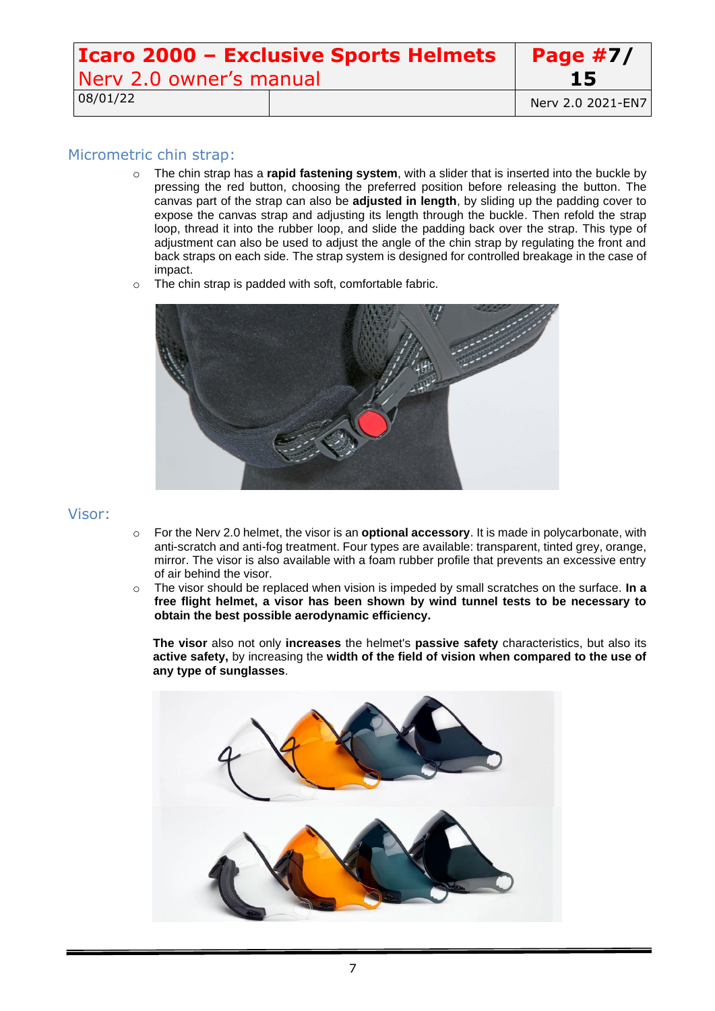| Icaro 2000 - Exclusive Sports Helmets |  | <b>Page #7/</b>   |
|---------------------------------------|--|-------------------|
| Nerv 2.0 owner's manual               |  | 15                |
| 08/01/22                              |  | Nerv 2.0 2021-EN7 |

### <span id="page-6-0"></span>Micrometric chin strap:

- o The chin strap has a **rapid fastening system**, with a slider that is inserted into the buckle by pressing the red button, choosing the preferred position before releasing the button. The canvas part of the strap can also be **adjusted in length**, by sliding up the padding cover to expose the canvas strap and adjusting its length through the buckle. Then refold the strap loop, thread it into the rubber loop, and slide the padding back over the strap. This type of adjustment can also be used to adjust the angle of the chin strap by regulating the front and back straps on each side. The strap system is designed for controlled breakage in the case of impact.
- o The chin strap is padded with soft, comfortable fabric.



### <span id="page-6-1"></span>Visor:

- o For the Nerv 2.0 helmet, the visor is an **optional accessory**. It is made in polycarbonate, with anti-scratch and anti-fog treatment. Four types are available: transparent, tinted grey, orange, mirror. The visor is also available with a foam rubber profile that prevents an excessive entry of air behind the visor.
- o The visor should be replaced when vision is impeded by small scratches on the surface. **In a free flight helmet, a visor has been shown by wind tunnel tests to be necessary to obtain the best possible aerodynamic efficiency.**

**The visor** also not only **increases** the helmet's **passive safety** characteristics, but also its **active safety,** by increasing the **width of the field of vision when compared to the use of any type of sunglasses**.

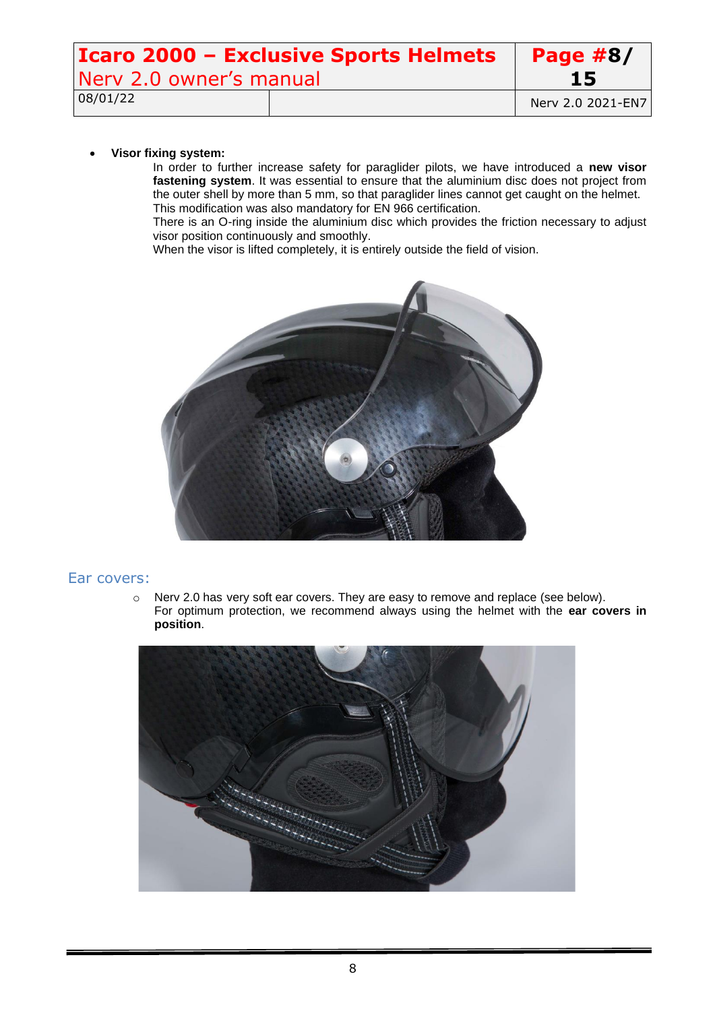| <b>Icaro 2000 - Exclusive Sports Helmets</b> |  | Page $#8/$        |
|----------------------------------------------|--|-------------------|
| Nery 2.0 owner's manual                      |  | 15                |
| 08/01/22                                     |  | Nerv 2.0 2021-EN7 |

#### • **Visor fixing system:**

In order to further increase safety for paraglider pilots, we have introduced a **new visor fastening system**. It was essential to ensure that the aluminium disc does not project from the outer shell by more than 5 mm, so that paraglider lines cannot get caught on the helmet. This modification was also mandatory for EN 966 certification.

There is an O-ring inside the aluminium disc which provides the friction necessary to adjust visor position continuously and smoothly.

When the visor is lifted completely, it is entirely outside the field of vision.



### <span id="page-7-0"></span>Ear covers:

o Nerv 2.0 has very soft ear covers. They are easy to remove and replace (see below). For optimum protection, we recommend always using the helmet with the **ear covers in position**.

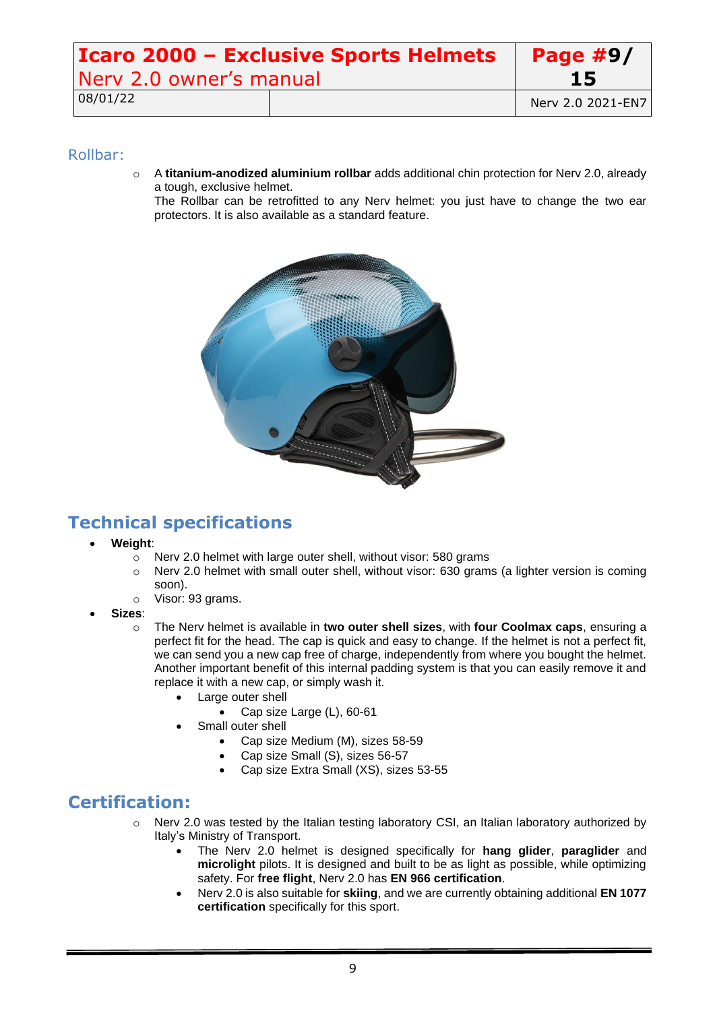| <b>Icaro 2000 - Exclusive Sports Helmets</b> |  | Page $#9/$        |
|----------------------------------------------|--|-------------------|
| Nerv 2.0 owner's manual                      |  | 15                |
| 08/01/22                                     |  | Nerv 2.0 2021-EN7 |

### <span id="page-8-0"></span>Rollbar:

o A **titanium-anodized aluminium rollbar** adds additional chin protection for Nerv 2.0, already a tough, exclusive helmet.

The Rollbar can be retrofitted to any Nerv helmet: you just have to change the two ear protectors. It is also available as a standard feature.



# <span id="page-8-1"></span>**Technical specifications**

- **Weight**:
	- o Nerv 2.0 helmet with large outer shell, without visor: 580 grams
	- o Nerv 2.0 helmet with small outer shell, without visor: 630 grams (a lighter version is coming soon).
	- o Visor: 93 grams.
- **Sizes**:
	- o The Nerv helmet is available in **two outer shell sizes**, with **four Coolmax caps**, ensuring a perfect fit for the head. The cap is quick and easy to change. If the helmet is not a perfect fit, we can send you a new cap free of charge, independently from where you bought the helmet. Another important benefit of this internal padding system is that you can easily remove it and replace it with a new cap, or simply wash it.
		- Large outer shell
			- Cap size Large (L), 60-61
		- Small outer shell
			- Cap size Medium (M), sizes 58-59
			- Cap size Small (S), sizes 56-57
			- Cap size Extra Small (XS), sizes 53-55

### <span id="page-8-2"></span>**Certification:**

- $\circ$  Nerv 2.0 was tested by the Italian testing laboratory CSI, an Italian laboratory authorized by Italy's Ministry of Transport.
	- The Nerv 2.0 helmet is designed specifically for **hang glider**, **paraglider** and **microlight** pilots. It is designed and built to be as light as possible, while optimizing safety. For **free flight**, Nerv 2.0 has **EN 966 certification**.
	- Nerv 2.0 is also suitable for **skiing**, and we are currently obtaining additional **EN 1077 certification** specifically for this sport.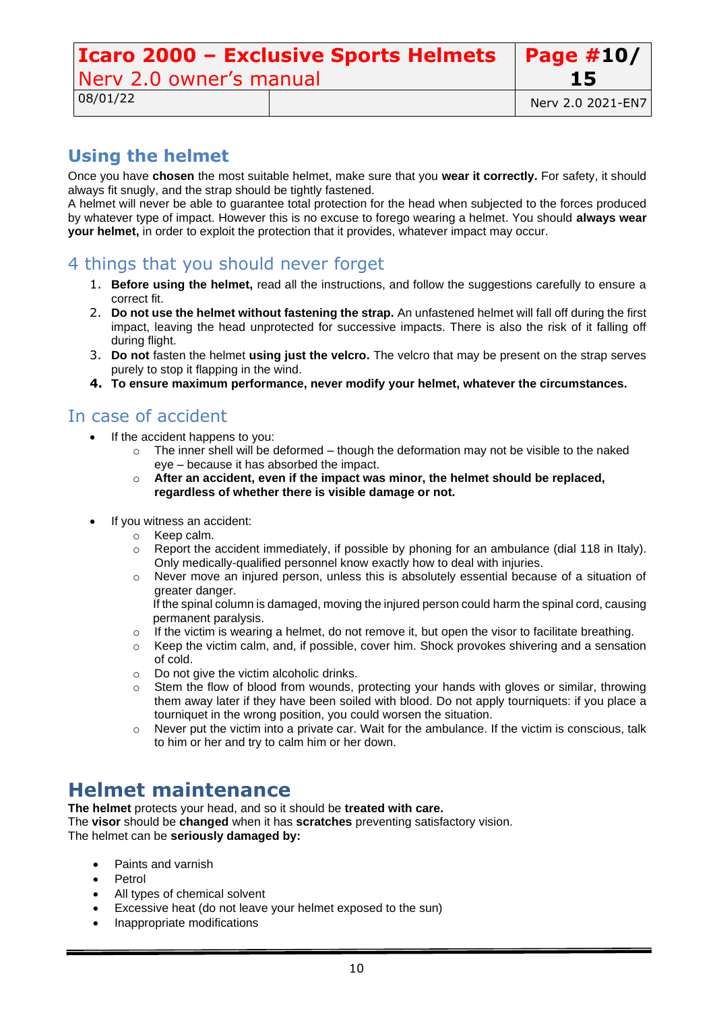#### **Icaro 2000 – Exclusive Sports Helmets** Nerv 2.0 owner's manual **Page #10/ 15** 08/01/22 Nerv 2.0 2021-EN7

# <span id="page-9-0"></span>**Using the helmet**

Once you have **chosen** the most suitable helmet, make sure that you **wear it correctly.** For safety, it should always fit snugly, and the strap should be tightly fastened.

A helmet will never be able to guarantee total protection for the head when subjected to the forces produced by whatever type of impact. However this is no excuse to forego wearing a helmet. You should **always wear your helmet,** in order to exploit the protection that it provides, whatever impact may occur.

# <span id="page-9-1"></span>4 things that you should never forget

- 1. **Before using the helmet,** read all the instructions, and follow the suggestions carefully to ensure a correct fit.
- 2. **Do not use the helmet without fastening the strap.** An unfastened helmet will fall off during the first impact, leaving the head unprotected for successive impacts. There is also the risk of it falling off during flight.
- 3. **Do not** fasten the helmet **using just the velcro.** The velcro that may be present on the strap serves purely to stop it flapping in the wind.
- **4. To ensure maximum performance, never modify your helmet, whatever the circumstances.**

### <span id="page-9-2"></span>In case of accident

- If the accident happens to you:
	- $\circ$  The inner shell will be deformed though the deformation may not be visible to the naked eye – because it has absorbed the impact.
	- o **After an accident, even if the impact was minor, the helmet should be replaced, regardless of whether there is visible damage or not.**
- If you witness an accident:
	- o Keep calm.
	- Report the accident immediately, if possible by phoning for an ambulance (dial 118 in Italy). Only medically-qualified personnel know exactly how to deal with injuries.
	- o Never move an injured person, unless this is absolutely essential because of a situation of greater danger.

If the spinal column is damaged, moving the injured person could harm the spinal cord, causing permanent paralysis.

- $\circ$  If the victim is wearing a helmet, do not remove it, but open the visor to facilitate breathing.
- $\circ$  Keep the victim calm, and, if possible, cover him. Shock provokes shivering and a sensation of cold.
- o Do not give the victim alcoholic drinks.
- $\circ$  Stem the flow of blood from wounds, protecting your hands with gloves or similar, throwing them away later if they have been soiled with blood. Do not apply tourniquets: if you place a tourniquet in the wrong position, you could worsen the situation.
- o Never put the victim into a private car. Wait for the ambulance. If the victim is conscious, talk to him or her and try to calm him or her down.

# <span id="page-9-3"></span>**Helmet maintenance**

**The helmet** protects your head, and so it should be **treated with care.**

The **visor** should be **changed** when it has **scratches** preventing satisfactory vision. The helmet can be **seriously damaged by:**

- Paints and varnish
- **Petrol**
- All types of chemical solvent
- Excessive heat (do not leave your helmet exposed to the sun)
- Inappropriate modifications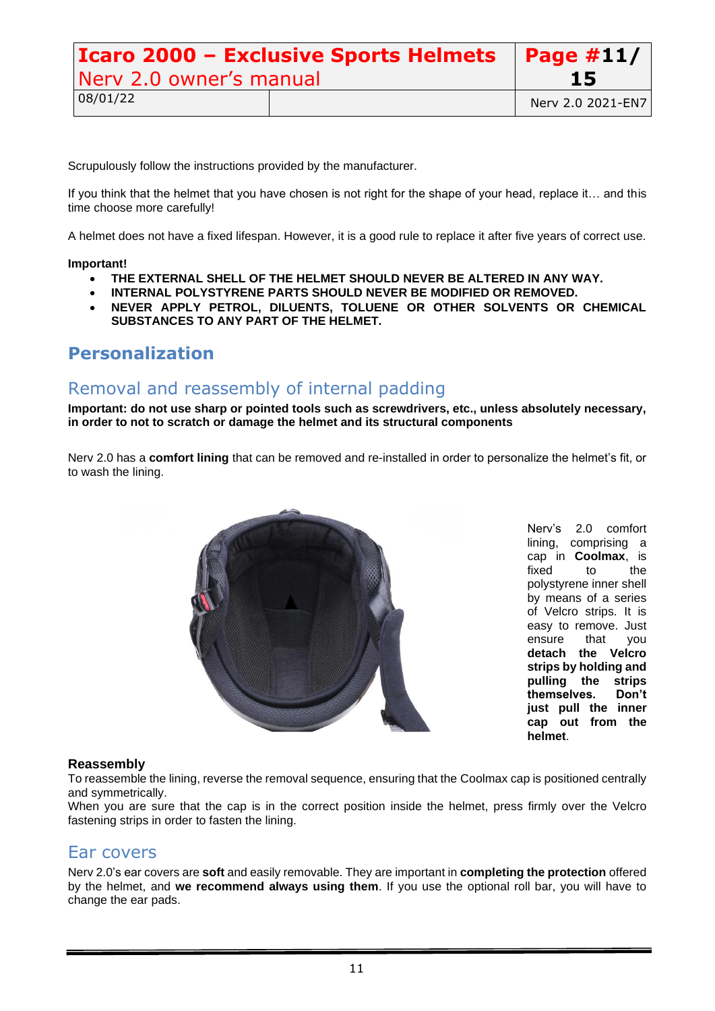| <b>Icaro 2000 - Exclusive Sports Helmets</b>   Page #11/ |  |                   |
|----------------------------------------------------------|--|-------------------|
| Nerv 2.0 owner's manual                                  |  | <b>15</b>         |
| 08/01/22                                                 |  | Nerv 2.0 2021-EN7 |

Scrupulously follow the instructions provided by the manufacturer.

If you think that the helmet that you have chosen is not right for the shape of your head, replace it… and this time choose more carefully!

A helmet does not have a fixed lifespan. However, it is a good rule to replace it after five years of correct use.

#### **Important!**

- **THE EXTERNAL SHELL OF THE HELMET SHOULD NEVER BE ALTERED IN ANY WAY.**
- **INTERNAL POLYSTYRENE PARTS SHOULD NEVER BE MODIFIED OR REMOVED.**
- **NEVER APPLY PETROL, DILUENTS, TOLUENE OR OTHER SOLVENTS OR CHEMICAL SUBSTANCES TO ANY PART OF THE HELMET.**

### <span id="page-10-0"></span>**Personalization**

### <span id="page-10-1"></span>Removal and reassembly of internal padding

**Important: do not use sharp or pointed tools such as screwdrivers, etc., unless absolutely necessary, in order to not to scratch or damage the helmet and its structural components**

Nerv 2.0 has a **comfort lining** that can be removed and re-installed in order to personalize the helmet's fit, or to wash the lining.



Nerv's 2.0 comfort lining, comprising a cap in **Coolmax**, is fixed to the polystyrene inner shell by means of a series of Velcro strips. It is easy to remove. Just ensure that you **detach the Velcro strips by holding and pulling the strips themselves. Don't just pull the inner cap out from the helmet**.

#### **Reassembly**

To reassemble the lining, reverse the removal sequence, ensuring that the Coolmax cap is positioned centrally and symmetrically.

When you are sure that the cap is in the correct position inside the helmet, press firmly over the Velcro fastening strips in order to fasten the lining.

### <span id="page-10-2"></span>Ear covers

Nerv 2.0's ear covers are **soft** and easily removable. They are important in **completing the protection** offered by the helmet, and **we recommend always using them**. If you use the optional roll bar, you will have to change the ear pads.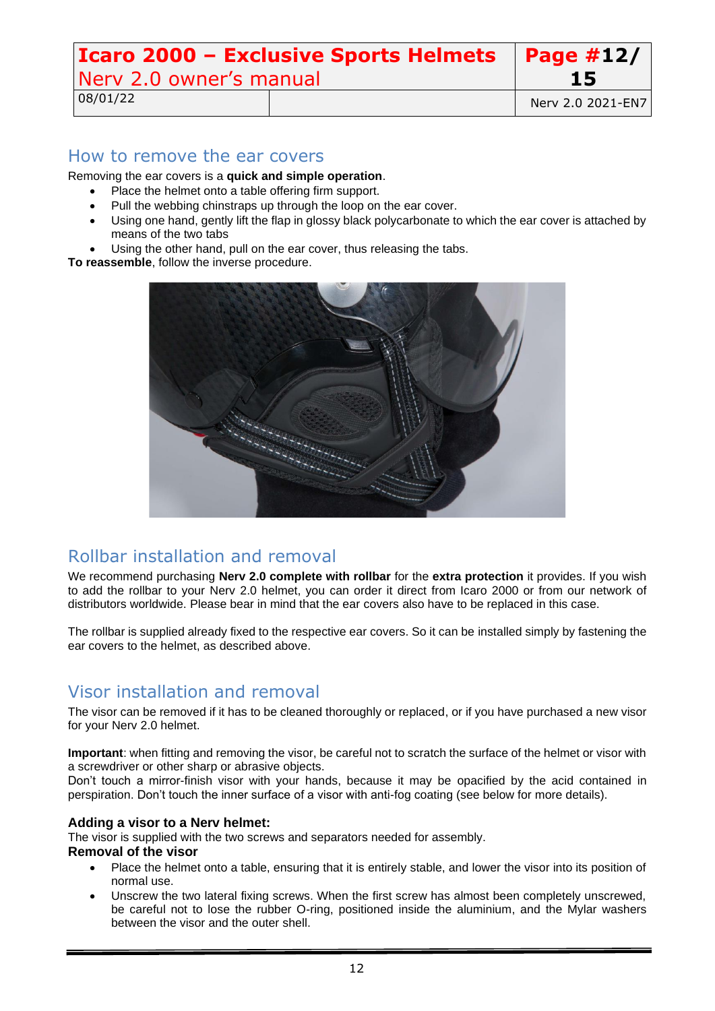#### **Icaro 2000 – Exclusive Sports Helmets** Nerv 2.0 owner's manual **Page #12/ 15**

08/01/22 **Nerv 2.0 2021-EN7** 

### <span id="page-11-0"></span>How to remove the ear covers

Removing the ear covers is a **quick and simple operation**.

- Place the helmet onto a table offering firm support.
- Pull the webbing chinstraps up through the loop on the ear cover.
- Using one hand, gently lift the flap in glossy black polycarbonate to which the ear cover is attached by means of the two tabs
- Using the other hand, pull on the ear cover, thus releasing the tabs.

**To reassemble**, follow the inverse procedure.



# <span id="page-11-1"></span>Rollbar installation and removal

We recommend purchasing **Nerv 2.0 complete with rollbar** for the **extra protection** it provides. If you wish to add the rollbar to your Nerv 2.0 helmet, you can order it direct from Icaro 2000 or from our network of distributors worldwide. Please bear in mind that the ear covers also have to be replaced in this case.

The rollbar is supplied already fixed to the respective ear covers. So it can be installed simply by fastening the ear covers to the helmet, as described above.

# <span id="page-11-2"></span>Visor installation and removal

The visor can be removed if it has to be cleaned thoroughly or replaced, or if you have purchased a new visor for your Nerv 2.0 helmet.

**Important**: when fitting and removing the visor, be careful not to scratch the surface of the helmet or visor with a screwdriver or other sharp or abrasive objects.

Don't touch a mirror-finish visor with your hands, because it may be opacified by the acid contained in perspiration. Don't touch the inner surface of a visor with anti-fog coating (see below for more details).

### **Adding a visor to a Nerv helmet:**

The visor is supplied with the two screws and separators needed for assembly.

#### **Removal of the visor**

- Place the helmet onto a table, ensuring that it is entirely stable, and lower the visor into its position of normal use.
- Unscrew the two lateral fixing screws. When the first screw has almost been completely unscrewed, be careful not to lose the rubber O-ring, positioned inside the aluminium, and the Mylar washers between the visor and the outer shell.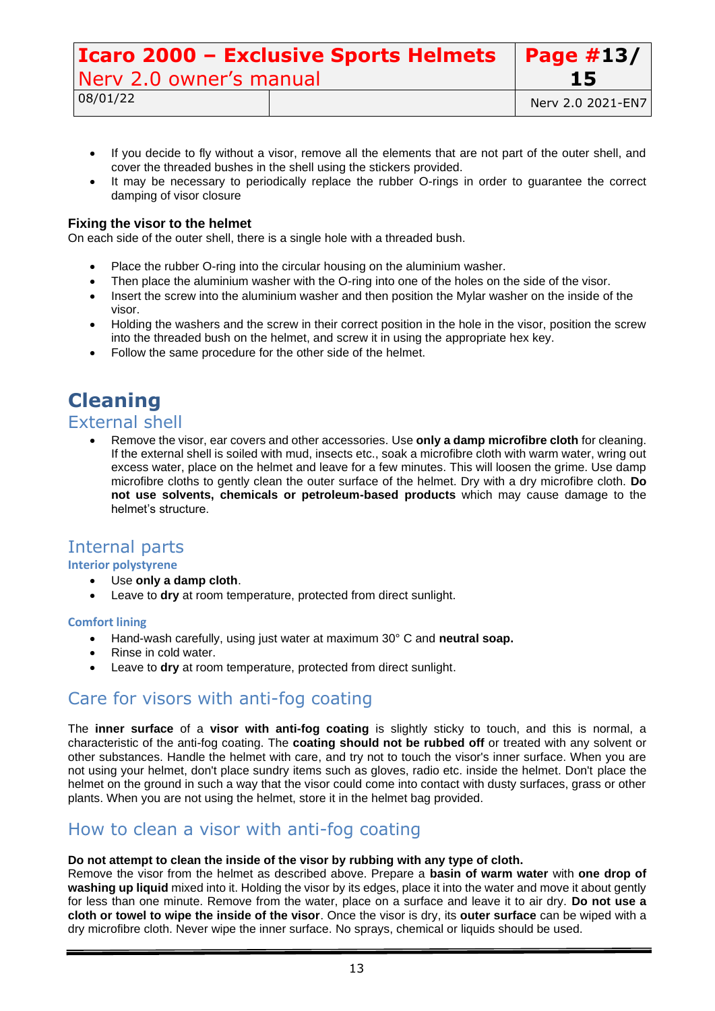| <b>Icaro 2000 - Exclusive Sports Helmets</b>   Page #13/ |  |                   |
|----------------------------------------------------------|--|-------------------|
| Nery 2.0 owner's manual                                  |  | 15                |
| 08/01/22                                                 |  | Nerv 2.0 2021-EN7 |

- If you decide to fly without a visor, remove all the elements that are not part of the outer shell, and cover the threaded bushes in the shell using the stickers provided.
- It may be necessary to periodically replace the rubber O-rings in order to guarantee the correct damping of visor closure

#### **Fixing the visor to the helmet**

On each side of the outer shell, there is a single hole with a threaded bush.

- Place the rubber O-ring into the circular housing on the aluminium washer.
- Then place the aluminium washer with the O-ring into one of the holes on the side of the visor.
- Insert the screw into the aluminium washer and then position the Mylar washer on the inside of the visor.
- Holding the washers and the screw in their correct position in the hole in the visor, position the screw into the threaded bush on the helmet, and screw it in using the appropriate hex key.
- <span id="page-12-0"></span>• Follow the same procedure for the other side of the helmet.

# **Cleaning**

### <span id="page-12-1"></span>External shell

• Remove the visor, ear covers and other accessories. Use **only a damp microfibre cloth** for cleaning. If the external shell is soiled with mud, insects etc., soak a microfibre cloth with warm water, wring out excess water, place on the helmet and leave for a few minutes. This will loosen the grime. Use damp microfibre cloths to gently clean the outer surface of the helmet. Dry with a dry microfibre cloth. **Do not use solvents, chemicals or petroleum-based products** which may cause damage to the helmet's structure.

### <span id="page-12-2"></span>Internal parts

#### **Interior polystyrene**

- Use **only a damp cloth**.
- Leave to dry at room temperature, protected from direct sunlight.

#### **Comfort lining**

- Hand-wash carefully, using just water at maximum 30° C and **neutral soap.**
- Rinse in cold water.
- Leave to dry at room temperature, protected from direct sunlight.

# <span id="page-12-3"></span>Care for visors with anti-fog coating

The **inner surface** of a **visor with anti-fog coating** is slightly sticky to touch, and this is normal, a characteristic of the anti-fog coating. The **coating should not be rubbed off** or treated with any solvent or other substances. Handle the helmet with care, and try not to touch the visor's inner surface. When you are not using your helmet, don't place sundry items such as gloves, radio etc. inside the helmet. Don't place the helmet on the ground in such a way that the visor could come into contact with dusty surfaces, grass or other plants. When you are not using the helmet, store it in the helmet bag provided.

### <span id="page-12-4"></span>How to clean a visor with anti-fog coating

#### **Do not attempt to clean the inside of the visor by rubbing with any type of cloth.**

Remove the visor from the helmet as described above. Prepare a **basin of warm water** with **one drop of washing up liquid** mixed into it. Holding the visor by its edges, place it into the water and move it about gently for less than one minute. Remove from the water, place on a surface and leave it to air dry. **Do not use a cloth or towel to wipe the inside of the visor**. Once the visor is dry, its **outer surface** can be wiped with a dry microfibre cloth. Never wipe the inner surface. No sprays, chemical or liquids should be used.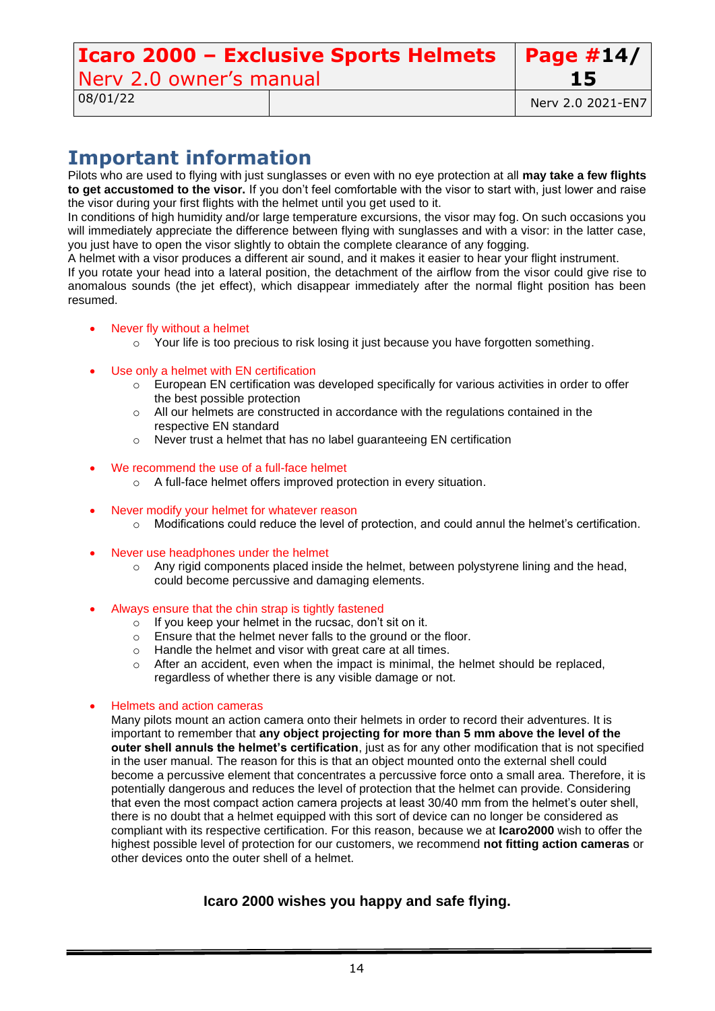# **Icaro 2000 – Exclusive Sports Helmets** Nerv 2.0 owner's manual

**Page #14/**

# <span id="page-13-0"></span>**Important information**

Pilots who are used to flying with just sunglasses or even with no eye protection at all **may take a few flights to get accustomed to the visor.** If you don't feel comfortable with the visor to start with, just lower and raise the visor during your first flights with the helmet until you get used to it.

In conditions of high humidity and/or large temperature excursions, the visor may fog. On such occasions you will immediately appreciate the difference between flying with sunglasses and with a visor: in the latter case, you just have to open the visor slightly to obtain the complete clearance of any fogging.

A helmet with a visor produces a different air sound, and it makes it easier to hear your flight instrument. If you rotate your head into a lateral position, the detachment of the airflow from the visor could give rise to anomalous sounds (the jet effect), which disappear immediately after the normal flight position has been resumed.

- Never fly without a helmet
	- o Your life is too precious to risk losing it just because you have forgotten something.
- Use only a helmet with EN certification
	- $\circ$  European EN certification was developed specifically for various activities in order to offer the best possible protection
	- $\circ$  All our helmets are constructed in accordance with the regulations contained in the respective EN standard
	- o Never trust a helmet that has no label guaranteeing EN certification
- We recommend the use of a full-face helmet
	- o A full-face helmet offers improved protection in every situation.
- Never modify your helmet for whatever reason
	- o Modifications could reduce the level of protection, and could annul the helmet's certification.
- Never use headphones under the helmet
	- $\circ$  Any rigid components placed inside the helmet, between polystyrene lining and the head, could become percussive and damaging elements.
- Always ensure that the chin strap is tightly fastened
	- o If you keep your helmet in the rucsac, don't sit on it.
	- o Ensure that the helmet never falls to the ground or the floor.
	- o Handle the helmet and visor with great care at all times.
	- $\circ$  After an accident, even when the impact is minimal, the helmet should be replaced, regardless of whether there is any visible damage or not.

### • Helmets and action cameras

Many pilots mount an action camera onto their helmets in order to record their adventures. It is important to remember that **any object projecting for more than 5 mm above the level of the outer shell annuls the helmet's certification**, just as for any other modification that is not specified in the user manual. The reason for this is that an object mounted onto the external shell could become a percussive element that concentrates a percussive force onto a small area. Therefore, it is potentially dangerous and reduces the level of protection that the helmet can provide. Considering that even the most compact action camera projects at least 30/40 mm from the helmet's outer shell, there is no doubt that a helmet equipped with this sort of device can no longer be considered as compliant with its respective certification. For this reason, because we at **Icaro2000** wish to offer the highest possible level of protection for our customers, we recommend **not fitting action cameras** or other devices onto the outer shell of a helmet.

### **Icaro 2000 wishes you happy and safe flying.**